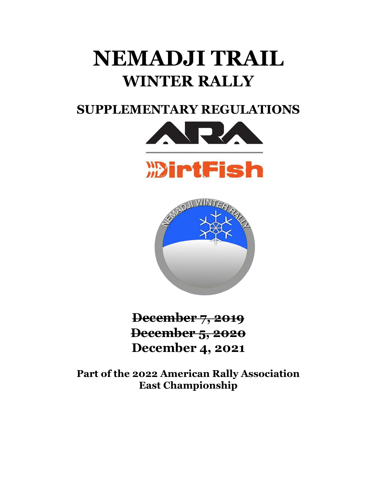# **NEMADJI TRAIL WINTER RALLY**

## **SUPPLEMENTARY REGULATIONS**





**December 7, 2019 December 5, 2020 December 4, 2021**

**Part of the 2022 American Rally Association East Championship**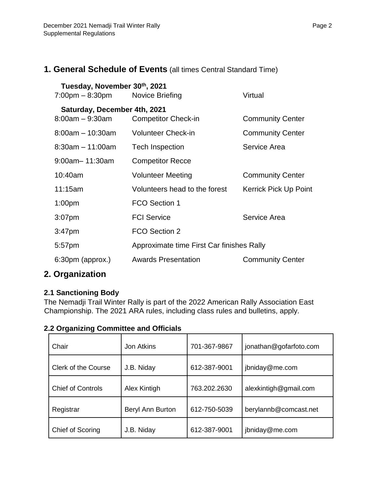## **1. General Schedule of Events** (all times Central Standard Time)

| Tuesday, November 30th, 2021<br>$7:00$ pm $-8:30$ pm | Novice Briefing                           | Virtual                 |
|------------------------------------------------------|-------------------------------------------|-------------------------|
|                                                      |                                           |                         |
| Saturday, December 4th, 2021<br>$8:00am - 9:30am$    | <b>Competitor Check-in</b>                | <b>Community Center</b> |
| $8:00am - 10:30am$                                   | <b>Volunteer Check-in</b>                 | <b>Community Center</b> |
| $8:30am - 11:00am$                                   | <b>Tech Inspection</b>                    | Service Area            |
| $9:00$ am $-11:30$ am                                | <b>Competitor Recce</b>                   |                         |
| 10:40am                                              | <b>Volunteer Meeting</b>                  | <b>Community Center</b> |
| 11:15am                                              | Volunteers head to the forest             | Kerrick Pick Up Point   |
| 1:00 <sub>pm</sub>                                   | FCO Section 1                             |                         |
| $3:07$ pm                                            | <b>FCI Service</b>                        | Service Area            |
| 3:47 <sub>pm</sub>                                   | FCO Section 2                             |                         |
| 5:57pm                                               | Approximate time First Car finishes Rally |                         |
| $6:30pm$ (approx.)                                   | <b>Awards Presentation</b>                | <b>Community Center</b> |

## **2. Organization**

## **2.1 Sanctioning Body**

The Nemadji Trail Winter Rally is part of the 2022 American Rally Association East Championship. The 2021 ARA rules, including class rules and bulletins, apply.

| 2 Organizing Committee and Officials |                   |              |                        |  |  |
|--------------------------------------|-------------------|--------------|------------------------|--|--|
| Chair                                | <b>Jon Atkins</b> | 701-367-9867 | jonathan@gofarfoto.com |  |  |
| <b>Clerk of the Course</b>           | J.B. Niday        | 612-387-9001 | jbniday@me.com         |  |  |
| <b>Chief of Controls</b>             | Alex Kintigh      | 763.202.2630 | alexkintigh@gmail.com  |  |  |
| Registrar                            | Beryl Ann Burton  | 612-750-5039 | berylannb@comcast.net  |  |  |
| Chief of Scoring                     | J.B. Niday        | 612-387-9001 | jbniday@me.com         |  |  |

## **2.2 Organizing Committee and Officials**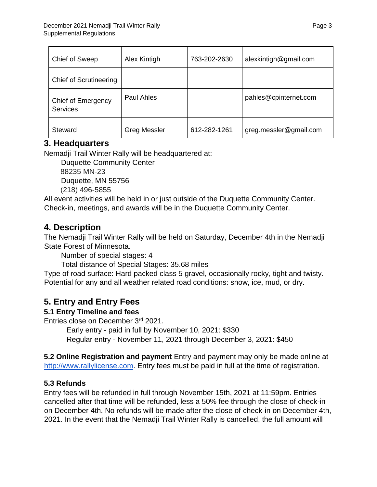| Chief of Sweep                        | Alex Kintigh        | 763-202-2630 | alexkintigh@gmail.com  |
|---------------------------------------|---------------------|--------------|------------------------|
| <b>Chief of Scrutineering</b>         |                     |              |                        |
| Chief of Emergency<br><b>Services</b> | Paul Ahles          |              | pahles@cpinternet.com  |
| Steward                               | <b>Greg Messler</b> | 612-282-1261 | greg.messler@gmail.com |

## **3. Headquarters**

Nemadji Trail Winter Rally will be headquartered at:

Duquette Community Center 88235 MN-23 Duquette, MN 55756 (218) 496-5855

All event activities will be held in or just outside of the Duquette Community Center. Check-in, meetings, and awards will be in the Duquette Community Center.

## **4. Description**

The Nemadji Trail Winter Rally will be held on Saturday, December 4th in the Nemadji State Forest of Minnesota.

Number of special stages: 4

Total distance of Special Stages: 35.68 miles

Type of road surface: Hard packed class 5 gravel, occasionally rocky, tight and twisty. Potential for any and all weather related road conditions: snow, ice, mud, or dry.

## **5. Entry and Entry Fees**

## **5.1 Entry Timeline and fees**

Entries close on December 3rd 2021.

Early entry - paid in full by November 10, 2021: \$330 Regular entry - November 11, 2021 through December 3, 2021: \$450

**5.2 Online Registration and payment** Entry and payment may only be made online at http://www.rallylicense.com. Entry fees must be paid in full at the time of registration.

## **5.3 Refunds**

Entry fees will be refunded in full through November 15th, 2021 at 11:59pm. Entries cancelled after that time will be refunded, less a 50% fee through the close of check-in on December 4th. No refunds will be made after the close of check-in on December 4th, 2021. In the event that the Nemadji Trail Winter Rally is cancelled, the full amount will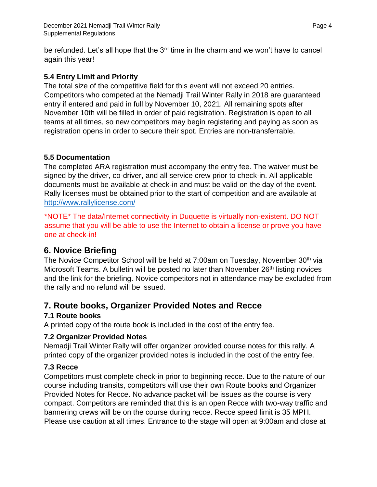be refunded. Let's all hope that the  $3<sup>rd</sup>$  time in the charm and we won't have to cancel again this year!

#### **5.4 Entry Limit and Priority**

The total size of the competitive field for this event will not exceed 20 entries. Competitors who competed at the Nemadji Trail Winter Rally in 2018 are guaranteed entry if entered and paid in full by November 10, 2021. All remaining spots after November 10th will be filled in order of paid registration. Registration is open to all teams at all times, so new competitors may begin registering and paying as soon as registration opens in order to secure their spot. Entries are non-transferrable.

#### **5.5 Documentation**

The completed ARA registration must accompany the entry fee. The waiver must be signed by the driver, co-driver, and all service crew prior to check-in. All applicable documents must be available at check-in and must be valid on the day of the event. Rally licenses must be obtained prior to the start of competition and are available at <http://www.rallylicense.com/>

\*NOTE\* The data/Internet connectivity in Duquette is virtually non-existent. DO NOT assume that you will be able to use the Internet to obtain a license or prove you have one at check-in!

## **6. Novice Briefing**

The Novice Competitor School will be held at 7:00am on Tuesday, November 30<sup>th</sup> via Microsoft Teams. A bulletin will be posted no later than November 26<sup>th</sup> listing novices and the link for the briefing. Novice competitors not in attendance may be excluded from the rally and no refund will be issued.

## **7. Route books, Organizer Provided Notes and Recce**

## **7.1 Route books**

A printed copy of the route book is included in the cost of the entry fee.

#### **7.2 Organizer Provided Notes**

Nemadji Trail Winter Rally will offer organizer provided course notes for this rally. A printed copy of the organizer provided notes is included in the cost of the entry fee.

#### **7.3 Recce**

Competitors must complete check-in prior to beginning recce. Due to the nature of our course including transits, competitors will use their own Route books and Organizer Provided Notes for Recce. No advance packet will be issues as the course is very compact. Competitors are reminded that this is an open Recce with two-way traffic and bannering crews will be on the course during recce. Recce speed limit is 35 MPH. Please use caution at all times. Entrance to the stage will open at 9:00am and close at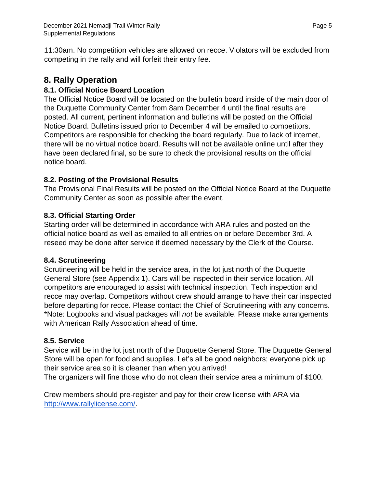11:30am. No competition vehicles are allowed on recce. Violators will be excluded from competing in the rally and will forfeit their entry fee.

## **8. Rally Operation**

## **8.1. Official Notice Board Location**

The Official Notice Board will be located on the bulletin board inside of the main door of the Duquette Community Center from 8am December 4 until the final results are posted. All current, pertinent information and bulletins will be posted on the Official Notice Board. Bulletins issued prior to December 4 will be emailed to competitors. Competitors are responsible for checking the board regularly. Due to lack of internet, there will be no virtual notice board. Results will not be available online until after they have been declared final, so be sure to check the provisional results on the official notice board.

## **8.2. Posting of the Provisional Results**

The Provisional Final Results will be posted on the Official Notice Board at the Duquette Community Center as soon as possible after the event.

## **8.3. Official Starting Order**

Starting order will be determined in accordance with ARA rules and posted on the official notice board as well as emailed to all entries on or before December 3rd. A reseed may be done after service if deemed necessary by the Clerk of the Course.

## **8.4. Scrutineering**

Scrutineering will be held in the service area, in the lot just north of the Duquette General Store (see Appendix 1). Cars will be inspected in their service location. All competitors are encouraged to assist with technical inspection. Tech inspection and recce may overlap. Competitors without crew should arrange to have their car inspected before departing for recce. Please contact the Chief of Scrutineering with any concerns. \*Note: Logbooks and visual packages will *not* be available. Please make arrangements with American Rally Association ahead of time.

#### **8.5. Service**

Service will be in the lot just north of the Duquette General Store. The Duquette General Store will be open for food and supplies. Let's all be good neighbors; everyone pick up their service area so it is cleaner than when you arrived!

The organizers will fine those who do not clean their service area a minimum of \$100.

Crew members should pre-register and pay for their crew license with ARA via [http://www.rallylicense.com/.](http://www.rallylicense.com/)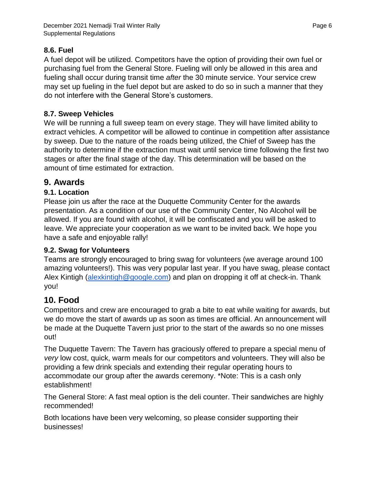#### **8.6. Fuel**

A fuel depot will be utilized. Competitors have the option of providing their own fuel or purchasing fuel from the General Store. Fueling will only be allowed in this area and fueling shall occur during transit time *after* the 30 minute service. Your service crew may set up fueling in the fuel depot but are asked to do so in such a manner that they do not interfere with the General Store's customers.

#### **8.7. Sweep Vehicles**

We will be running a full sweep team on every stage. They will have limited ability to extract vehicles. A competitor will be allowed to continue in competition after assistance by sweep. Due to the nature of the roads being utilized, the Chief of Sweep has the authority to determine if the extraction must wait until service time following the first two stages or after the final stage of the day. This determination will be based on the amount of time estimated for extraction.

## **9. Awards**

#### **9.1. Location**

Please join us after the race at the Duquette Community Center for the awards presentation. As a condition of our use of the Community Center, No Alcohol will be allowed. If you are found with alcohol, it will be confiscated and you will be asked to leave. We appreciate your cooperation as we want to be invited back. We hope you have a safe and enjoyable rally!

#### **9.2. Swag for Volunteers**

Teams are strongly encouraged to bring swag for volunteers (we average around 100 amazing volunteers!). This was very popular last year. If you have swag, please contact Alex Kintigh (alexkintigh@google.com) and plan on dropping it off at check-in. Thank you!

## **10. Food**

Competitors and crew are encouraged to grab a bite to eat while waiting for awards, but we do move the start of awards up as soon as times are official. An announcement will be made at the Duquette Tavern just prior to the start of the awards so no one misses out!

The Duquette Tavern: The Tavern has graciously offered to prepare a special menu of *very* low cost, quick, warm meals for our competitors and volunteers. They will also be providing a few drink specials and extending their regular operating hours to accommodate our group after the awards ceremony. \*Note: This is a cash only establishment!

The General Store: A fast meal option is the deli counter. Their sandwiches are highly recommended!

Both locations have been very welcoming, so please consider supporting their businesses!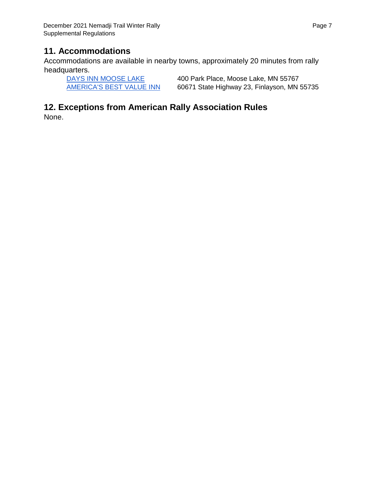## **11. Accommodations**

Accommodations are available in nearby towns, approximately 20 minutes from rally headquarters.

[DAYS INN MOOSE LAKE](http://www.daysinn.com/hotels/minnesota/moose-lake/days-inn-moose-lake/hotel-overview?cid=local&iata=00065402) 400 Park Place, Moose Lake, MN 55767 [AMERICA'S BEST VALUE INN](http://www.americasbestvalueinn.com/bestv.cfm?idp=1314&rcode=gpl) 60671 State Highway 23, Finlayson, MN 55735

## **12. Exceptions from American Rally Association Rules**

None.